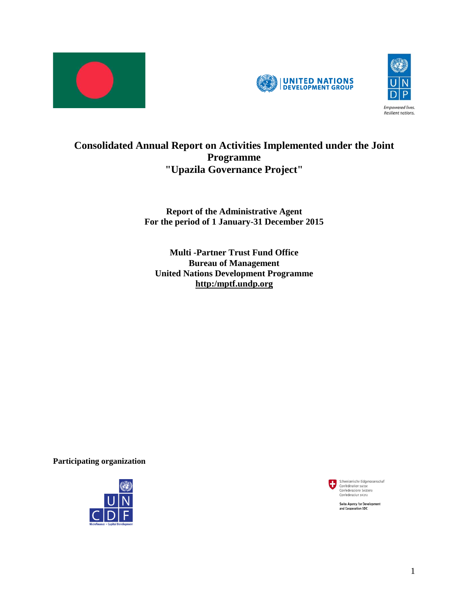





# **Consolidated Annual Report on Activities Implemented under the Joint Programme "Upazila Governance Project"**

## **Report of the Administrative Agent For the period of 1 January-31 December 2015**

**Multi -Partner Trust Fund Office Bureau of Management United Nations Development Programme http:/mptf.undp.org**

**Participating organization** 





**Swiss Agency for Development** and Cooperation SDC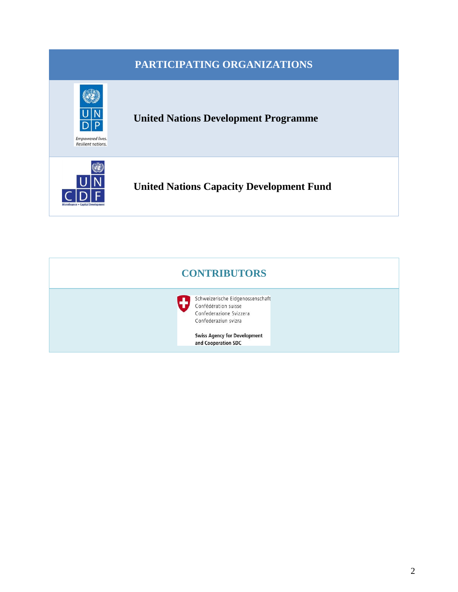|                                        | PARTICIPATING ORGANIZATIONS                     |  |
|----------------------------------------|-------------------------------------------------|--|
| Empowered lives.<br>Resilient nations. | <b>United Nations Development Programme</b>     |  |
| Microfinance . Capital Developmen      | <b>United Nations Capacity Development Fund</b> |  |

| <b>CONTRIBUTORS</b> |                                                                                                             |  |  |  |  |  |  |
|---------------------|-------------------------------------------------------------------------------------------------------------|--|--|--|--|--|--|
|                     | Schweizerische Eidgenossenschaft<br>Confédération suisse<br>Confederazione Svizzera<br>Confederaziun svizra |  |  |  |  |  |  |
|                     | <b>Swiss Agency for Development</b><br>and Cooperation SDC                                                  |  |  |  |  |  |  |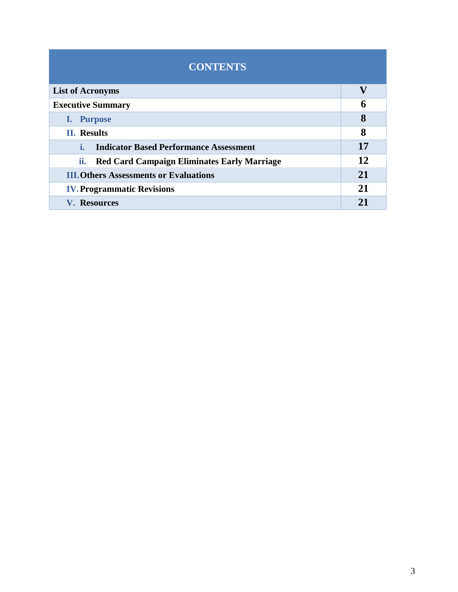# **CONTENTS List of Acronyms V Executive Summary 6 I. Purpose 8 II. Results 8 i. Indicator Based Performance Assessment 17 ii. Red Card Campaign Eliminates Early Marriage 12 III.Others Assessments or Evaluations 21 IV.Programmatic Revisions 21 V. Resources 21**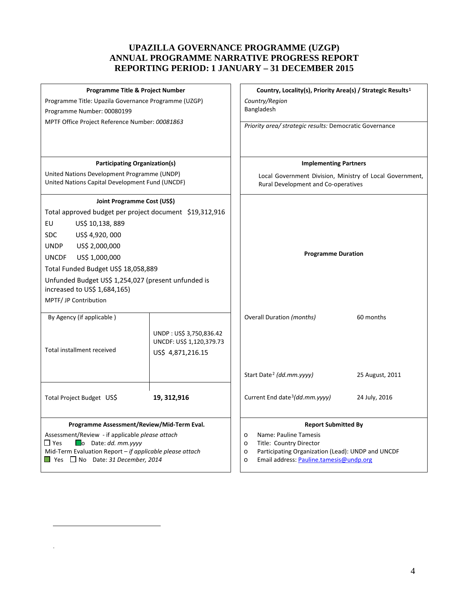#### **UPAZILLA GOVERNANCE PROGRAMME (UZGP) ANNUAL PROGRAMME NARRATIVE PROGRESS REPORT REPORTING PERIOD: 1 JANUARY – 31 DECEMBER 2015**

| Programme Title & Project Number<br>Programme Title: Upazila Governance Programme (UZGP)<br>Programme Number: 00080199<br>MPTF Office Project Reference Number: 00081863                                                                                                                                                                                                                                                               |                                                                          | Country, Locality(s), Priority Area(s) / Strategic Results <sup>1</sup><br>Country/Region<br>Bangladesh<br>Priority area/ strategic results: Democratic Governance                                                         |                 |  |  |
|----------------------------------------------------------------------------------------------------------------------------------------------------------------------------------------------------------------------------------------------------------------------------------------------------------------------------------------------------------------------------------------------------------------------------------------|--------------------------------------------------------------------------|----------------------------------------------------------------------------------------------------------------------------------------------------------------------------------------------------------------------------|-----------------|--|--|
|                                                                                                                                                                                                                                                                                                                                                                                                                                        |                                                                          |                                                                                                                                                                                                                            |                 |  |  |
| <b>Participating Organization(s)</b>                                                                                                                                                                                                                                                                                                                                                                                                   |                                                                          | <b>Implementing Partners</b>                                                                                                                                                                                               |                 |  |  |
| United Nations Development Programme (UNDP)<br>United Nations Capital Development Fund (UNCDF)                                                                                                                                                                                                                                                                                                                                         |                                                                          | Local Government Division, Ministry of Local Government,<br>Rural Development and Co-operatives                                                                                                                            |                 |  |  |
| Joint Programme Cost (US\$)<br>Total approved budget per project document \$19,312,916<br>EU<br>US\$ 10,138, 889<br>US\$ 4,920, 000<br><b>SDC</b><br>US\$ 2,000,000<br><b>UNDP</b><br>US\$ 1,000,000<br><b>UNCDF</b><br>Total Funded Budget US\$ 18,058,889<br>Unfunded Budget US\$ 1,254,027 (present unfunded is<br>increased to US\$ 1,684,165)<br>MPTF/ JP Contribution<br>By Agency (if applicable)<br>Total installment received | UNDP: US\$ 3,750,836.42<br>UNCDF: US\$ 1,120,379.73<br>US\$ 4,871,216.15 | <b>Programme Duration</b><br><b>Overall Duration (months)</b>                                                                                                                                                              | 60 months       |  |  |
|                                                                                                                                                                                                                                                                                                                                                                                                                                        |                                                                          | Start Date <sup>2</sup> (dd.mm.yyyy)                                                                                                                                                                                       | 25 August, 2011 |  |  |
| Total Project Budget US\$                                                                                                                                                                                                                                                                                                                                                                                                              | 19, 312, 916                                                             | Current End date <sup>3</sup> (dd.mm.yyyy)                                                                                                                                                                                 | 24 July, 2016   |  |  |
| Programme Assessment/Review/Mid-Term Eval.<br>Assessment/Review - if applicable please attach<br>$\square$ Yes<br>$\Box$ o Date: dd. mm. yyyy<br>Mid-Term Evaluation Report - if applicable please attach<br>$\Box$ Yes $\Box$ No Date: 31 December, 2014                                                                                                                                                                              |                                                                          | <b>Report Submitted By</b><br>Name: Pauline Tamesis<br>$\circ$<br>Title: Country Director<br>$\circ$<br>Participating Organization (Lead): UNDP and UNCDF<br>$\circ$<br>Email address: Pauline.tamesis@undp.org<br>$\circ$ |                 |  |  |

 $\overline{a}$ 

<span id="page-3-2"></span><span id="page-3-1"></span><span id="page-3-0"></span>.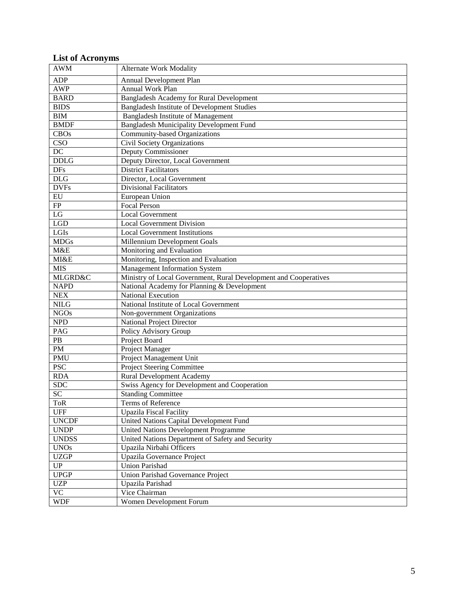## **List of Acronyms**

| <b>AWM</b>                   | <b>Alternate Work Modality</b>                                   |
|------------------------------|------------------------------------------------------------------|
| <b>ADP</b>                   |                                                                  |
| <b>AWP</b>                   | Annual Development Plan<br><b>Annual Work Plan</b>               |
| <b>BARD</b>                  | <b>Bangladesh Academy for Rural Development</b>                  |
| <b>BIDS</b>                  |                                                                  |
|                              | Bangladesh Institute of Development Studies                      |
| BIM                          | <b>Bangladesh Institute of Management</b>                        |
| <b>BMDF</b>                  | <b>Bangladesh Municipality Development Fund</b>                  |
| <b>CBOs</b>                  | Community-based Organizations                                    |
| $\overline{\text{CSO}}$      | Civil Society Organizations                                      |
| $\overline{DC}$              | <b>Deputy Commissioner</b>                                       |
| <b>DDLG</b>                  | Deputy Director, Local Government                                |
| DFs                          | <b>District Facilitators</b>                                     |
| DLG                          | Director, Local Government                                       |
| <b>DVFs</b>                  | <b>Divisional Facilitators</b>                                   |
| $E$ U                        | European Union                                                   |
| FP                           | <b>Focal Person</b>                                              |
| LG                           | Local Government                                                 |
| <b>LGD</b>                   | <b>Local Government Division</b>                                 |
| LGIs                         | <b>Local Government Institutions</b>                             |
| <b>MDGs</b>                  | Millennium Development Goals                                     |
| M&E                          | Monitoring and Evaluation                                        |
| MI&E                         | Monitoring, Inspection and Evaluation                            |
| <b>MIS</b>                   | <b>Management Information System</b>                             |
| <b>MLGRD&amp;C</b>           | Ministry of Local Government, Rural Development and Cooperatives |
| <b>NAPD</b>                  | National Academy for Planning & Development                      |
| <b>NEX</b>                   | <b>National Execution</b>                                        |
| <b>NILG</b>                  | National Institute of Local Government                           |
| <b>NGOs</b>                  | Non-government Organizations                                     |
| <b>NPD</b>                   | <b>National Project Director</b>                                 |
| PAG                          | Policy Advisory Group                                            |
| $\rm{PB}$                    | Project Board                                                    |
| PM                           | Project Manager                                                  |
| <b>PMU</b>                   | Project Management Unit                                          |
| <b>PSC</b>                   | <b>Project Steering Committee</b>                                |
| <b>RDA</b>                   | <b>Rural Development Academy</b>                                 |
| SDC                          | Swiss Agency for Development and Cooperation                     |
| SC                           | <b>Standing Committee</b>                                        |
| ToR                          | Terms of Reference                                               |
| <b>UFF</b>                   | <b>Upazila Fiscal Facility</b>                                   |
| <b>UNCDF</b>                 | United Nations Capital Development Fund                          |
| <b>UNDP</b>                  | United Nations Development Programme                             |
| <b>UNDSS</b>                 | United Nations Department of Safety and Security                 |
| <b>UNOs</b>                  | Upazila Nirbahi Officers                                         |
| <b>UZGP</b>                  | Upazila Governance Project                                       |
| $\overline{\text{UP}}$       | <b>Union Parishad</b>                                            |
| $\ensuremath{\mathsf{UPGP}}$ | Union Parishad Governance Project                                |
|                              |                                                                  |
| <b>UZP</b>                   | Upazila Parishad                                                 |
| $\overline{VC}$              | Vice Chairman                                                    |
| <b>WDF</b>                   | Women Development Forum                                          |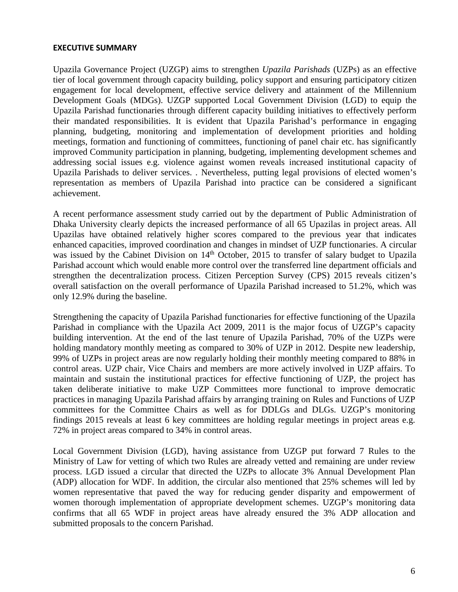#### **EXECUTIVE SUMMARY**

Upazila Governance Project (UZGP) aims to strengthen *Upazila Parishads* (UZPs) as an effective tier of local government through capacity building, policy support and ensuring participatory citizen engagement for local development, effective service delivery and attainment of the Millennium Development Goals (MDGs). UZGP supported Local Government Division (LGD) to equip the Upazila Parishad functionaries through different capacity building initiatives to effectively perform their mandated responsibilities. It is evident that Upazila Parishad's performance in engaging planning, budgeting, monitoring and implementation of development priorities and holding meetings, formation and functioning of committees, functioning of panel chair etc. has significantly improved Community participation in planning, budgeting, implementing development schemes and addressing social issues e.g. violence against women reveals increased institutional capacity of Upazila Parishads to deliver services. . Nevertheless, putting legal provisions of elected women's representation as members of Upazila Parishad into practice can be considered a significant achievement.

A recent performance assessment study carried out by the department of Public Administration of Dhaka University clearly depicts the increased performance of all 65 Upazilas in project areas. All Upazilas have obtained relatively higher scores compared to the previous year that indicates enhanced capacities, improved coordination and changes in mindset of UZP functionaries. A circular was issued by the Cabinet Division on 14<sup>th</sup> October, 2015 to transfer of salary budget to Upazila Parishad account which would enable more control over the transferred line department officials and strengthen the decentralization process. Citizen Perception Survey (CPS) 2015 reveals citizen's overall satisfaction on the overall performance of Upazila Parishad increased to 51.2%, which was only 12.9% during the baseline.

Strengthening the capacity of Upazila Parishad functionaries for effective functioning of the Upazila Parishad in compliance with the Upazila Act 2009, 2011 is the major focus of UZGP's capacity building intervention. At the end of the last tenure of Upazila Parishad, 70% of the UZPs were holding mandatory monthly meeting as compared to 30% of UZP in 2012. Despite new leadership, 99% of UZPs in project areas are now regularly holding their monthly meeting compared to 88% in control areas. UZP chair, Vice Chairs and members are more actively involved in UZP affairs. To maintain and sustain the institutional practices for effective functioning of UZP, the project has taken deliberate initiative to make UZP Committees more functional to improve democratic practices in managing Upazila Parishad affairs by arranging training on Rules and Functions of UZP committees for the Committee Chairs as well as for DDLGs and DLGs. UZGP's monitoring findings 2015 reveals at least 6 key committees are holding regular meetings in project areas e.g. 72% in project areas compared to 34% in control areas.

Local Government Division (LGD), having assistance from UZGP put forward 7 Rules to the Ministry of Law for vetting of which two Rules are already vetted and remaining are under review process. LGD issued a circular that directed the UZPs to allocate 3% Annual Development Plan (ADP) allocation for WDF. In addition, the circular also mentioned that 25% schemes will led by women representative that paved the way for reducing gender disparity and empowerment of women thorough implementation of appropriate development schemes. UZGP's monitoring data confirms that all 65 WDF in project areas have already ensured the 3% ADP allocation and submitted proposals to the concern Parishad.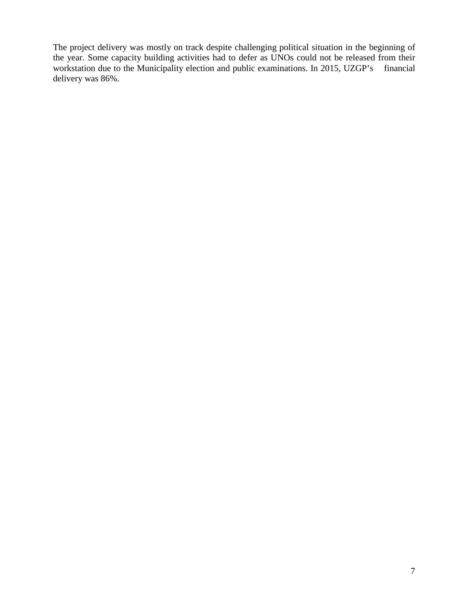The project delivery was mostly on track despite challenging political situation in the beginning of the year. Some capacity building activities had to defer as UNOs could not be released from their workstation due to the Municipality election and public examinations. In 2015, UZGP's financial delivery was 86%.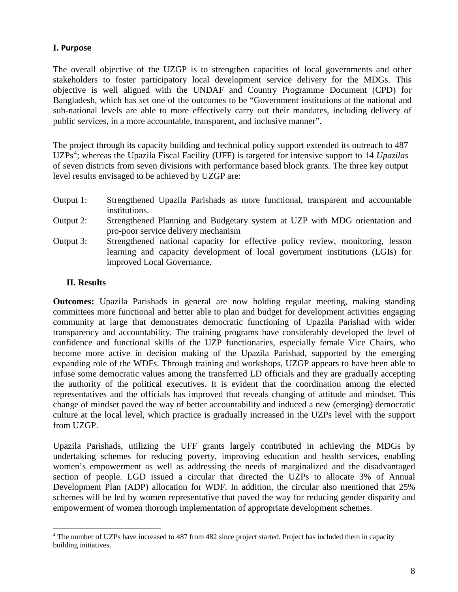#### **I. Purpose**

The overall objective of the UZGP is to strengthen capacities of local governments and other stakeholders to foster participatory local development service delivery for the MDGs. This objective is well aligned with the UNDAF and Country Programme Document (CPD) for Bangladesh, which has set one of the outcomes to be "Government institutions at the national and sub-national levels are able to more effectively carry out their mandates, including delivery of public services, in a more accountable, transparent, and inclusive manner".

The project through its capacity building and technical policy support extended its outreach to 487 UZPs<sup>[4](#page-7-0)</sup>; whereas the Upazila Fiscal Facility (UFF) is targeted for intensive support to 14 *Upazilas* of seven districts from seven divisions with performance based block grants*.* The three key output level results envisaged to be achieved by UZGP are:

- Output 1: Strengthened Upazila Parishads as more functional, transparent and accountable institutions.
- Output 2: Strengthened Planning and Budgetary system at UZP with MDG orientation and pro-poor service delivery mechanism
- Output 3: Strengthened national capacity for effective policy review, monitoring, lesson learning and capacity development of local government institutions (LGIs) for improved Local Governance.

#### **II. Results**

**Outcomes:** Upazila Parishads in general are now holding regular meeting, making standing committees more functional and better able to plan and budget for development activities engaging community at large that demonstrates democratic functioning of Upazila Parishad with wider transparency and accountability. The training programs have considerably developed the level of confidence and functional skills of the UZP functionaries, especially female Vice Chairs, who become more active in decision making of the Upazila Parishad, supported by the emerging expanding role of the WDFs. Through training and workshops, UZGP appears to have been able to infuse some democratic values among the transferred LD officials and they are gradually accepting the authority of the political executives. It is evident that the coordination among the elected representatives and the officials has improved that reveals changing of attitude and mindset. This change of mindset paved the way of better accountability and induced a new (emerging) democratic culture at the local level, which practice is gradually increased in the UZPs level with the support from UZGP.

Upazila Parishads, utilizing the UFF grants largely contributed in achieving the MDGs by undertaking schemes for reducing poverty, improving education and health services, enabling women's empowerment as well as addressing the needs of marginalized and the disadvantaged section of people. LGD issued a circular that directed the UZPs to allocate 3% of Annual Development Plan (ADP) allocation for WDF. In addition, the circular also mentioned that 25% schemes will be led by women representative that paved the way for reducing gender disparity and empowerment of women thorough implementation of appropriate development schemes.

<span id="page-7-0"></span><sup>&</sup>lt;sup>4</sup> The number of UZPs have increased to 487 from 482 since project started. Project has included them in capacity building initiatives.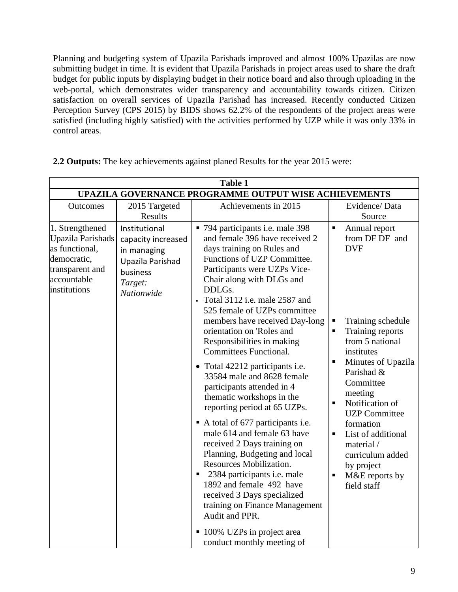Planning and budgeting system of Upazila Parishads improved and almost 100% Upazilas are now submitting budget in time. It is evident that Upazila Parishads in project areas used to share the draft budget for public inputs by displaying budget in their notice board and also through uploading in the web-portal, which demonstrates wider transparency and accountability towards citizen. Citizen satisfaction on overall services of Upazila Parishad has increased. Recently conducted Citizen Perception Survey (CPS 2015) by BIDS shows 62.2% of the respondents of the project areas were satisfied (including highly satisfied) with the activities performed by UZP while it was only 33% in control areas.

|                                                                                                                         | <b>Table 1</b>                                                                                              |                                                                                                                                                                                                                                                                                                                                                                                                                                                                                                                                                                                                                                                                                                                                                                                                                                                                                                                                                                 |                                                                                                               |                                                                                                                                                                                                                                                                                                                                                    |  |  |  |  |  |  |
|-------------------------------------------------------------------------------------------------------------------------|-------------------------------------------------------------------------------------------------------------|-----------------------------------------------------------------------------------------------------------------------------------------------------------------------------------------------------------------------------------------------------------------------------------------------------------------------------------------------------------------------------------------------------------------------------------------------------------------------------------------------------------------------------------------------------------------------------------------------------------------------------------------------------------------------------------------------------------------------------------------------------------------------------------------------------------------------------------------------------------------------------------------------------------------------------------------------------------------|---------------------------------------------------------------------------------------------------------------|----------------------------------------------------------------------------------------------------------------------------------------------------------------------------------------------------------------------------------------------------------------------------------------------------------------------------------------------------|--|--|--|--|--|--|
| UPAZILA GOVERNANCE PROGRAMME OUTPUT WISE ACHIEVEMENTS                                                                   |                                                                                                             |                                                                                                                                                                                                                                                                                                                                                                                                                                                                                                                                                                                                                                                                                                                                                                                                                                                                                                                                                                 |                                                                                                               |                                                                                                                                                                                                                                                                                                                                                    |  |  |  |  |  |  |
| <b>Outcomes</b>                                                                                                         | 2015 Targeted<br>Results                                                                                    | Achievements in 2015                                                                                                                                                                                                                                                                                                                                                                                                                                                                                                                                                                                                                                                                                                                                                                                                                                                                                                                                            |                                                                                                               | Evidence/Data<br>Source                                                                                                                                                                                                                                                                                                                            |  |  |  |  |  |  |
| 1. Strengthened<br>Upazila Parishads<br>as functional,<br>democratic,<br>transparent and<br>accountable<br>institutions | Institutional<br>capacity increased<br>in managing<br>Upazila Parishad<br>business<br>Target:<br>Nationwide | • 794 participants i.e. male 398<br>and female 396 have received 2<br>days training on Rules and<br>Functions of UZP Committee.<br>Participants were UZPs Vice-<br>Chair along with DLGs and<br>DDLGs.<br>• Total 3112 i.e. male 2587 and<br>525 female of UZPs committee<br>members have received Day-long<br>orientation on 'Roles and<br>Responsibilities in making<br><b>Committees Functional.</b><br>• Total 42212 participants i.e.<br>33584 male and 8628 female<br>participants attended in 4<br>thematic workshops in the<br>reporting period at 65 UZPs.<br>A total of 677 participants i.e.<br>male 614 and female 63 have<br>received 2 Days training on<br>Planning, Budgeting and local<br><b>Resources Mobilization.</b><br>2384 participants <i>i.e.</i> male<br>ш<br>1892 and female 492 have<br>received 3 Days specialized<br>training on Finance Management<br>Audit and PPR.<br>■ 100% UZPs in project area<br>conduct monthly meeting of | $\blacksquare$<br>п<br>$\blacksquare$<br>$\blacksquare$<br>$\blacksquare$<br>$\blacksquare$<br>$\blacksquare$ | Annual report<br>from DF DF and<br><b>DVF</b><br>Training schedule<br>Training reports<br>from 5 national<br>institutes<br>Minutes of Upazila<br>Parishad &<br>Committee<br>meeting<br>Notification of<br><b>UZP</b> Committee<br>formation<br>List of additional<br>material /<br>curriculum added<br>by project<br>M&E reports by<br>field staff |  |  |  |  |  |  |

**2.2 Outputs:** The key achievements against planed Results for the year 2015 were: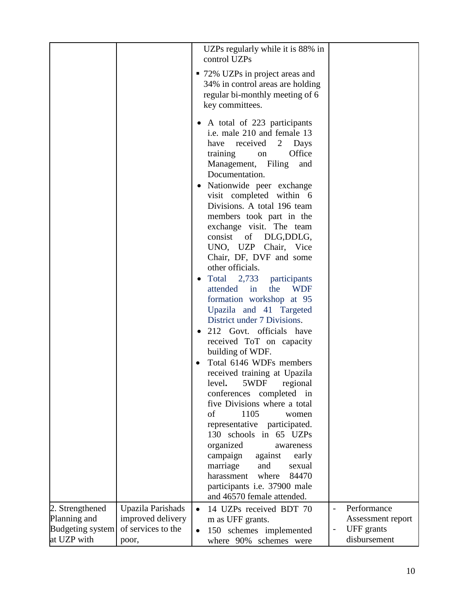|                                 |                                        |                        | UZPs regularly while it is 88% in<br>control UZPs                                                                                                                                                                                                                                                                                                                                                                                                                                                                                                                                                                                                                                                                                                                                                                                                                                                                                                                                                                                                      |                          |                                 |
|---------------------------------|----------------------------------------|------------------------|--------------------------------------------------------------------------------------------------------------------------------------------------------------------------------------------------------------------------------------------------------------------------------------------------------------------------------------------------------------------------------------------------------------------------------------------------------------------------------------------------------------------------------------------------------------------------------------------------------------------------------------------------------------------------------------------------------------------------------------------------------------------------------------------------------------------------------------------------------------------------------------------------------------------------------------------------------------------------------------------------------------------------------------------------------|--------------------------|---------------------------------|
|                                 |                                        |                        | • 72% UZPs in project areas and<br>34% in control areas are holding<br>regular bi-monthly meeting of 6<br>key committees.                                                                                                                                                                                                                                                                                                                                                                                                                                                                                                                                                                                                                                                                                                                                                                                                                                                                                                                              |                          |                                 |
|                                 |                                        | $\bullet$<br>$\bullet$ | • A total of 223 participants<br>i.e. male 210 and female 13<br>have<br>received<br>2<br>Days<br>Office<br>training<br>on<br>Management, Filing<br>and<br>Documentation.<br>Nationwide peer exchange<br>visit completed within 6<br>Divisions. A total 196 team<br>members took part in the<br>exchange visit. The team<br>consist of DLG, DDLG,<br>UNO, UZP Chair, Vice<br>Chair, DF, DVF and some<br>other officials.<br>Total 2,733 participants<br>attended in<br>the<br><b>WDF</b><br>formation workshop at 95<br>Upazila and 41 Targeted<br>District under 7 Divisions.<br>212 Govt. officials have<br>received ToT on capacity<br>building of WDF.<br>Total 6146 WDFs members<br>received training at Upazila<br>5WDF<br>level.<br>regional<br>conferences completed in<br>five Divisions where a total<br>of<br>1105<br>women<br>representative participated.<br>130 schools in 65 UZPs<br>organized<br>awareness<br>campaign<br>against<br>early<br>marriage<br>and<br>sexual<br>where<br>84470<br>harassment<br>participants i.e. 37900 male |                          |                                 |
|                                 |                                        |                        | and 46570 female attended.                                                                                                                                                                                                                                                                                                                                                                                                                                                                                                                                                                                                                                                                                                                                                                                                                                                                                                                                                                                                                             |                          |                                 |
| 2. Strengthened<br>Planning and | Upazila Parishads<br>improved delivery | $\bullet$              | 14 UZPs received BDT 70                                                                                                                                                                                                                                                                                                                                                                                                                                                                                                                                                                                                                                                                                                                                                                                                                                                                                                                                                                                                                                |                          | Performance                     |
| <b>Budgeting system</b>         | of services to the                     | $\bullet$              | m as UFF grants.<br>150 schemes implemented                                                                                                                                                                                                                                                                                                                                                                                                                                                                                                                                                                                                                                                                                                                                                                                                                                                                                                                                                                                                            | $\overline{\phantom{0}}$ | Assessment report<br>UFF grants |
| at UZP with                     | poor,                                  |                        | where 90% schemes were                                                                                                                                                                                                                                                                                                                                                                                                                                                                                                                                                                                                                                                                                                                                                                                                                                                                                                                                                                                                                                 |                          | disbursement                    |
|                                 |                                        |                        |                                                                                                                                                                                                                                                                                                                                                                                                                                                                                                                                                                                                                                                                                                                                                                                                                                                                                                                                                                                                                                                        |                          |                                 |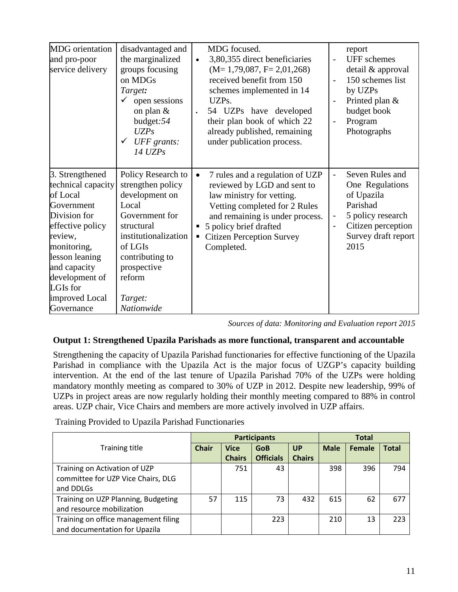| <b>MDG</b> orientation<br>and pro-poor<br>service delivery                                                                                                                                                                    | disadvantaged and<br>the marginalized<br>groups focusing<br>on MDGs<br>Target:<br>open sessions<br>on plan $&$<br>budget:54<br>UZPs<br>UFF grants:<br>$14 \text{ UZPs}$                                    | MDG focused.<br>3,80,355 direct beneficiaries<br>$\bullet$<br>$(M=1,79,087, F=2,01,268)$<br>received benefit from 150<br>schemes implemented in 14<br>UZPs.<br>54 UZPs have developed<br>$\bullet$<br>their plan book of which 22<br>already published, remaining<br>under publication process. | $\overline{a}$<br>$\overline{\phantom{a}}$<br>$\overline{\phantom{a}}$<br>$\overline{\phantom{a}}$ | report<br><b>UFF</b> schemes<br>detail & approval<br>150 schemes list<br>by UZPs<br>Printed plan &<br>budget book<br>Program<br>Photographs |
|-------------------------------------------------------------------------------------------------------------------------------------------------------------------------------------------------------------------------------|------------------------------------------------------------------------------------------------------------------------------------------------------------------------------------------------------------|-------------------------------------------------------------------------------------------------------------------------------------------------------------------------------------------------------------------------------------------------------------------------------------------------|----------------------------------------------------------------------------------------------------|---------------------------------------------------------------------------------------------------------------------------------------------|
| 3. Strengthened<br>technical capacity<br>of Local<br>Government<br>Division for<br>effective policy<br>review,<br>monitoring,<br>lesson leaning<br>and capacity<br>development of<br>LGIs for<br>improved Local<br>Governance | Policy Research to<br>strengthen policy<br>development on<br>Local<br>Government for<br>structural<br>institutionalization<br>of LGIs<br>contributing to<br>prospective<br>reform<br>Target:<br>Nationwide | 7 rules and a regulation of UZP<br>$\bullet$<br>reviewed by LGD and sent to<br>law ministry for vetting.<br>Vetting completed for 2 Rules<br>and remaining is under process.<br>5 policy brief drafted<br>п<br><b>Citizen Perception Survey</b><br>ш<br>Completed.                              | $\overline{\phantom{0}}$<br>$\overline{\phantom{0}}$<br>$\overline{\phantom{0}}$                   | Seven Rules and<br>One Regulations<br>of Upazila<br>Parishad<br>5 policy research<br>Citizen perception<br>Survey draft report<br>2015      |

*Sources of data: Monitoring and Evaluation report 2015*

## **Output 1: Strengthened Upazila Parishads as more functional, transparent and accountable**

Strengthening the capacity of Upazila Parishad functionaries for effective functioning of the Upazila Parishad in compliance with the Upazila Act is the major focus of UZGP's capacity building intervention. At the end of the last tenure of Upazila Parishad 70% of the UZPs were holding mandatory monthly meeting as compared to 30% of UZP in 2012. Despite new leadership, 99% of UZPs in project areas are now regularly holding their monthly meeting compared to 88% in control areas. UZP chair, Vice Chairs and members are more actively involved in UZP affairs.

Training Provided to Upazila Parishad Functionaries

|                                      |              |               | <b>Participants</b> |               |             | <b>Total</b> |              |
|--------------------------------------|--------------|---------------|---------------------|---------------|-------------|--------------|--------------|
| <b>Training title</b>                | <b>Chair</b> | <b>Vice</b>   | <b>GoB</b>          | UP            | <b>Male</b> | Female       | <b>Total</b> |
|                                      |              | <b>Chairs</b> | <b>Officials</b>    | <b>Chairs</b> |             |              |              |
| Training on Activation of UZP        |              | 751           | 43                  |               | 398         | 396          | 794          |
| committee for UZP Vice Chairs, DLG   |              |               |                     |               |             |              |              |
| and DDLGs                            |              |               |                     |               |             |              |              |
| Training on UZP Planning, Budgeting  | 57           | 115           | 73                  | 432           | 615         | 62           | 677          |
| and resource mobilization            |              |               |                     |               |             |              |              |
| Training on office management filing |              |               | 223                 |               | 210         | 13           | 223          |
| and documentation for Upazila        |              |               |                     |               |             |              |              |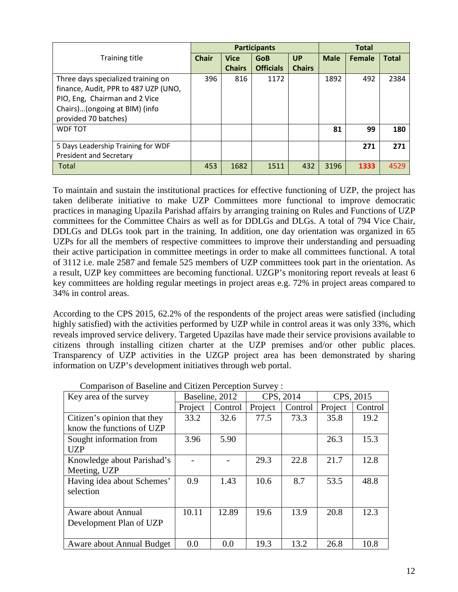|                                      |              |               | <b>Participants</b> | <b>Total</b>  |             |               |              |
|--------------------------------------|--------------|---------------|---------------------|---------------|-------------|---------------|--------------|
| <b>Training title</b>                | <b>Chair</b> | <b>Vice</b>   | <b>GoB</b>          | <b>UP</b>     | <b>Male</b> | <b>Female</b> | <b>Total</b> |
|                                      |              | <b>Chairs</b> | <b>Officials</b>    | <b>Chairs</b> |             |               |              |
| Three days specialized training on   | 396          | 816           | 1172                |               | 1892        | 492           | 2384         |
| finance, Audit, PPR to 487 UZP (UNO, |              |               |                     |               |             |               |              |
| PIO, Eng, Chairman and 2 Vice        |              |               |                     |               |             |               |              |
| Chairs)(ongoing at BIM) (info        |              |               |                     |               |             |               |              |
| provided 70 batches)                 |              |               |                     |               |             |               |              |
| <b>WDF TOT</b>                       |              |               |                     |               | 81          | 99            | 180          |
|                                      |              |               |                     |               |             |               |              |
| 5 Days Leadership Training for WDF   |              |               |                     |               |             | 271           | 271          |
| <b>President and Secretary</b>       |              |               |                     |               |             |               |              |
| Total                                | 453          | 1682          | 1511                | 432           | 3196        | 1333          | 4529         |

To maintain and sustain the institutional practices for effective functioning of UZP, the project has taken deliberate initiative to make UZP Committees more functional to improve democratic practices in managing Upazila Parishad affairs by arranging training on Rules and Functions of UZP committees for the Committee Chairs as well as for DDLGs and DLGs. A total of 794 Vice Chair, DDLGs and DLGs took part in the training. In addition, one day orientation was organized in 65 UZPs for all the members of respective committees to improve their understanding and persuading their active participation in committee meetings in order to make all committees functional. A total of 3112 i.e. male 2587 and female 525 members of UZP committees took part in the orientation. As a result, UZP key committees are becoming functional. UZGP's monitoring report reveals at least 6 key committees are holding regular meetings in project areas e.g. 72% in project areas compared to 34% in control areas.

According to the CPS 2015, 62.2% of the respondents of the project areas were satisfied (including highly satisfied) with the activities performed by UZP while in control areas it was only 33%, which reveals improved service delivery. Targeted Upazilas have made their service provisions available to citizens through installing citizen charter at the UZP premises and/or other public places. Transparency of UZP activities in the UZGP project area has been demonstrated by sharing information on UZP's development initiatives through web portal.

| Key area of the survey      |         | Baseline, 2012 |         | CPS, 2014 |         | CPS, 2015 |
|-----------------------------|---------|----------------|---------|-----------|---------|-----------|
|                             | Project | Control        | Project | Control   | Project | Control   |
| Citizen's opinion that they | 33.2    | 32.6           | 77.5    | 73.3      | 35.8    | 19.2      |
| know the functions of UZP   |         |                |         |           |         |           |
| Sought information from     | 3.96    | 5.90           |         |           | 26.3    | 15.3      |
| <b>UZP</b>                  |         |                |         |           |         |           |
| Knowledge about Parishad's  |         |                | 29.3    | 22.8      | 21.7    | 12.8      |
| Meeting, UZP                |         |                |         |           |         |           |
| Having idea about Schemes'  | 0.9     | 1.43           | 10.6    | 8.7       | 53.5    | 48.8      |
| selection                   |         |                |         |           |         |           |
|                             |         |                |         |           |         |           |
| Aware about Annual          | 10.11   | 12.89          | 19.6    | 13.9      | 20.8    | 12.3      |
| Development Plan of UZP     |         |                |         |           |         |           |
|                             |         |                |         |           |         |           |
| Aware about Annual Budget   | 0.0     | 0.0            | 19.3    | 13.2      | 26.8    | 10.8      |

Comparison of Baseline and Citizen Perception Survey :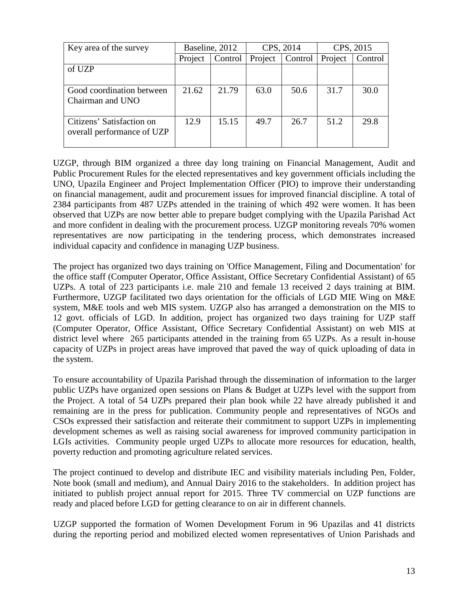| Key area of the survey                                  | Baseline, 2012 |         |         | CPS, 2014 | CPS, 2015 |         |
|---------------------------------------------------------|----------------|---------|---------|-----------|-----------|---------|
|                                                         | Project        | Control | Project | Control   | Project   | Control |
| of UZP                                                  |                |         |         |           |           |         |
|                                                         |                |         |         |           |           |         |
| Good coordination between<br>Chairman and UNO           | 21.62          | 21.79   | 63.0    | 50.6      | 31.7      | 30.0    |
|                                                         |                |         |         |           |           |         |
| Citizens' Satisfaction on<br>overall performance of UZP | 12.9           | 15.15   | 49.7    | 26.7      | 51.2      | 29.8    |

UZGP, through BIM organized a three day long training on Financial Management, Audit and Public Procurement Rules for the elected representatives and key government officials including the UNO, Upazila Engineer and Project Implementation Officer (PIO) to improve their understanding on financial management, audit and procurement issues for improved financial discipline. A total of 2384 participants from 487 UZPs attended in the training of which 492 were women. It has been observed that UZPs are now better able to prepare budget complying with the Upazila Parishad Act and more confident in dealing with the procurement process. UZGP monitoring reveals 70% women representatives are now participating in the tendering process, which demonstrates increased individual capacity and confidence in managing UZP business.

The project has organized two days training on 'Office Management, Filing and Documentation' for the office staff (Computer Operator, Office Assistant, Office Secretary Confidential Assistant) of 65 UZPs. A total of 223 participants i.e. male 210 and female 13 received 2 days training at BIM. Furthermore, UZGP facilitated two days orientation for the officials of LGD MIE Wing on M&E system, M&E tools and web MIS system. UZGP also has arranged a demonstration on the MIS to 12 govt. officials of LGD. In addition, project has organized two days training for UZP staff (Computer Operator, Office Assistant, Office Secretary Confidential Assistant) on web MIS at district level where 265 participants attended in the training from 65 UZPs. As a result in-house capacity of UZPs in project areas have improved that paved the way of quick uploading of data in the system.

To ensure accountability of Upazila Parishad through the dissemination of information to the larger public UZPs have organized open sessions on Plans & Budget at UZPs level with the support from the Project. A total of 54 UZPs prepared their plan book while 22 have already published it and remaining are in the press for publication. Community people and representatives of NGOs and CSOs expressed their satisfaction and reiterate their commitment to support UZPs in implementing development schemes as well as raising social awareness for improved community participation in LGIs activities. Community people urged UZPs to allocate more resources for education, health, poverty reduction and promoting agriculture related services.

The project continued to develop and distribute IEC and visibility materials including Pen, Folder, Note book (small and medium), and Annual Dairy 2016 to the stakeholders. In addition project has initiated to publish project annual report for 2015. Three TV commercial on UZP functions are ready and placed before LGD for getting clearance to on air in different channels.

UZGP supported the formation of Women Development Forum in 96 Upazilas and 41 districts during the reporting period and mobilized elected women representatives of Union Parishads and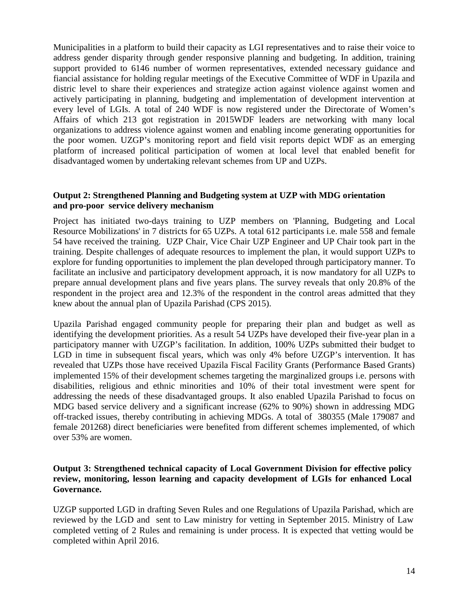Municipalities in a platform to build their capacity as LGI representatives and to raise their voice to address gender disparity through gender responsive planning and budgeting. In addition, training support provided to 6146 number of wormen representatives, extended necessary guidance and fiancial assistance for holding regular meetings of the Executive Committee of WDF in Upazila and distric level to share their experiences and strategize action against violence against women and actively participating in planning, budgeting and implementation of development intervention at every level of LGIs. A total of 240 WDF is now registered under the Directorate of Women's Affairs of which 213 got registration in 2015WDF leaders are networking with many local organizations to address violence against women and enabling income generating opportunities for the poor women. UZGP's monitoring report and field visit reports depict WDF as an emerging platform of increased political participation of women at local level that enabled benefit for disadvantaged women by undertaking relevant schemes from UP and UZPs.

#### **Output 2: Strengthened Planning and Budgeting system at UZP with MDG orientation and pro-poor service delivery mechanism**

Project has initiated two-days training to UZP members on 'Planning, Budgeting and Local Resource Mobilizations' in 7 districts for 65 UZPs. A total 612 participants i.e. male 558 and female 54 have received the training. UZP Chair, Vice Chair UZP Engineer and UP Chair took part in the training. Despite challenges of adequate resources to implement the plan, it would support UZPs to explore for funding opportunities to implement the plan developed through participatory manner. To facilitate an inclusive and participatory development approach, it is now mandatory for all UZPs to prepare annual development plans and five years plans. The survey reveals that only 20.8% of the respondent in the project area and 12.3% of the respondent in the control areas admitted that they knew about the annual plan of Upazila Parishad (CPS 2015).

Upazila Parishad engaged community people for preparing their plan and budget as well as identifying the development priorities. As a result 54 UZPs have developed their five-year plan in a participatory manner with UZGP's facilitation. In addition, 100% UZPs submitted their budget to LGD in time in subsequent fiscal years, which was only 4% before UZGP's intervention. It has revealed that UZPs those have received Upazila Fiscal Facility Grants (Performance Based Grants) implemented 15% of their development schemes targeting the marginalized groups i.e. persons with disabilities, religious and ethnic minorities and 10% of their total investment were spent for addressing the needs of these disadvantaged groups. It also enabled Upazila Parishad to focus on MDG based service delivery and a significant increase (62% to 90%) shown in addressing MDG off-tracked issues, thereby contributing in achieving MDGs. A total of 380355 (Male 179087 and female 201268) direct beneficiaries were benefited from different schemes implemented, of which over 53% are women.

#### **Output 3: Strengthened technical capacity of Local Government Division for effective policy review, monitoring, lesson learning and capacity development of LGIs for enhanced Local Governance.**

UZGP supported LGD in drafting Seven Rules and one Regulations of Upazila Parishad, which are reviewed by the LGD and sent to Law ministry for vetting in September 2015. Ministry of Law completed vetting of 2 Rules and remaining is under process. It is expected that vetting would be completed within April 2016.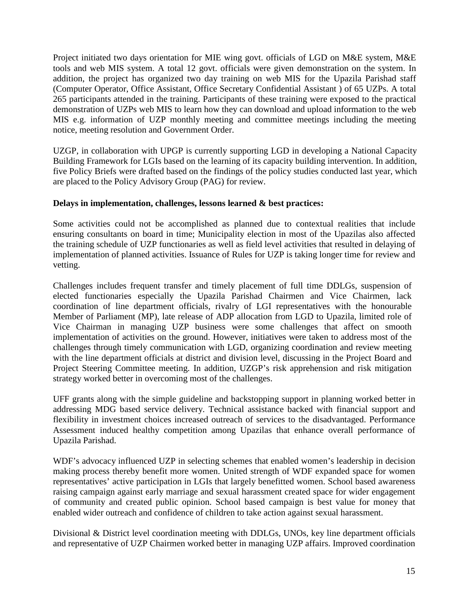Project initiated two days orientation for MIE wing govt. officials of LGD on M&E system, M&E tools and web MIS system. A total 12 govt. officials were given demonstration on the system. In addition, the project has organized two day training on web MIS for the Upazila Parishad staff (Computer Operator, Office Assistant, Office Secretary Confidential Assistant ) of 65 UZPs. A total 265 participants attended in the training. Participants of these training were exposed to the practical demonstration of UZPs web MIS to learn how they can download and upload information to the web MIS e.g. information of UZP monthly meeting and committee meetings including the meeting notice, meeting resolution and Government Order.

UZGP, in collaboration with UPGP is currently supporting LGD in developing a National Capacity Building Framework for LGIs based on the learning of its capacity building intervention. In addition, five Policy Briefs were drafted based on the findings of the policy studies conducted last year, which are placed to the Policy Advisory Group (PAG) for review.

#### **Delays in implementation, challenges, lessons learned & best practices:**

Some activities could not be accomplished as planned due to contextual realities that include ensuring consultants on board in time; Municipality election in most of the Upazilas also affected the training schedule of UZP functionaries as well as field level activities that resulted in delaying of implementation of planned activities. Issuance of Rules for UZP is taking longer time for review and vetting.

Challenges includes frequent transfer and timely placement of full time DDLGs, suspension of elected functionaries especially the Upazila Parishad Chairmen and Vice Chairmen, lack coordination of line department officials, rivalry of LGI representatives with the honourable Member of Parliament (MP), late release of ADP allocation from LGD to Upazila, limited role of Vice Chairman in managing UZP business were some challenges that affect on smooth implementation of activities on the ground. However, initiatives were taken to address most of the challenges through timely communication with LGD, organizing coordination and review meeting with the line department officials at district and division level, discussing in the Project Board and Project Steering Committee meeting. In addition, UZGP's risk apprehension and risk mitigation strategy worked better in overcoming most of the challenges.

UFF grants along with the simple guideline and backstopping support in planning worked better in addressing MDG based service delivery. Technical assistance backed with financial support and flexibility in investment choices increased outreach of services to the disadvantaged. Performance Assessment induced healthy competition among Upazilas that enhance overall performance of Upazila Parishad.

WDF's advocacy influenced UZP in selecting schemes that enabled women's leadership in decision making process thereby benefit more women. United strength of WDF expanded space for women representatives' active participation in LGIs that largely benefitted women. School based awareness raising campaign against early marriage and sexual harassment created space for wider engagement of community and created public opinion. School based campaign is best value for money that enabled wider outreach and confidence of children to take action against sexual harassment.

Divisional & District level coordination meeting with DDLGs, UNOs, key line department officials and representative of UZP Chairmen worked better in managing UZP affairs. Improved coordination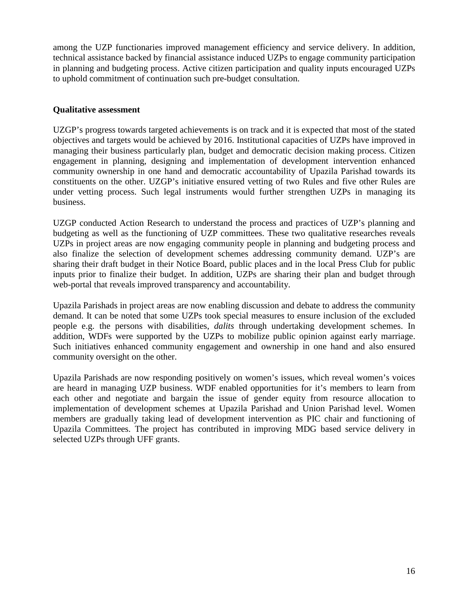among the UZP functionaries improved management efficiency and service delivery. In addition, technical assistance backed by financial assistance induced UZPs to engage community participation in planning and budgeting process. Active citizen participation and quality inputs encouraged UZPs to uphold commitment of continuation such pre-budget consultation.

#### **Qualitative assessment**

UZGP's progress towards targeted achievements is on track and it is expected that most of the stated objectives and targets would be achieved by 2016. Institutional capacities of UZPs have improved in managing their business particularly plan, budget and democratic decision making process. Citizen engagement in planning, designing and implementation of development intervention enhanced community ownership in one hand and democratic accountability of Upazila Parishad towards its constituents on the other. UZGP's initiative ensured vetting of two Rules and five other Rules are under vetting process. Such legal instruments would further strengthen UZPs in managing its business.

UZGP conducted Action Research to understand the process and practices of UZP's planning and budgeting as well as the functioning of UZP committees. These two qualitative researches reveals UZPs in project areas are now engaging community people in planning and budgeting process and also finalize the selection of development schemes addressing community demand. UZP's are sharing their draft budget in their Notice Board, public places and in the local Press Club for public inputs prior to finalize their budget. In addition, UZPs are sharing their plan and budget through web-portal that reveals improved transparency and accountability.

Upazila Parishads in project areas are now enabling discussion and debate to address the community demand. It can be noted that some UZPs took special measures to ensure inclusion of the excluded people e.g. the persons with disabilities, *dalits* through undertaking development schemes. In addition, WDFs were supported by the UZPs to mobilize public opinion against early marriage. Such initiatives enhanced community engagement and ownership in one hand and also ensured community oversight on the other.

Upazila Parishads are now responding positively on women's issues, which reveal women's voices are heard in managing UZP business. WDF enabled opportunities for it's members to learn from each other and negotiate and bargain the issue of gender equity from resource allocation to implementation of development schemes at Upazila Parishad and Union Parishad level. Women members are gradually taking lead of development intervention as PIC chair and functioning of Upazila Committees. The project has contributed in improving MDG based service delivery in selected UZPs through UFF grants.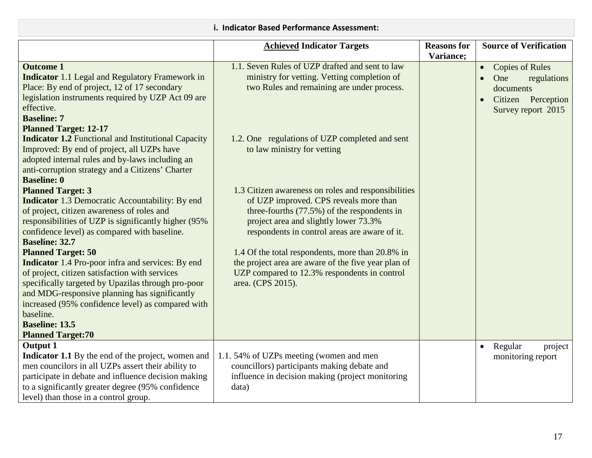|                                                                                                                                                                                                                                                                                                                                                                                                                                                                                                                                                                                                                                                                                                                                                                                                                                                                                                                                                                                                                                                                                         | <b>Achieved Indicator Targets</b>                                                                                                                                                                                                                                                                                                                                                                                                                                                                                                                                                                                                                         | <b>Reasons for</b> | <b>Source of Verification</b>                                                                                                   |
|-----------------------------------------------------------------------------------------------------------------------------------------------------------------------------------------------------------------------------------------------------------------------------------------------------------------------------------------------------------------------------------------------------------------------------------------------------------------------------------------------------------------------------------------------------------------------------------------------------------------------------------------------------------------------------------------------------------------------------------------------------------------------------------------------------------------------------------------------------------------------------------------------------------------------------------------------------------------------------------------------------------------------------------------------------------------------------------------|-----------------------------------------------------------------------------------------------------------------------------------------------------------------------------------------------------------------------------------------------------------------------------------------------------------------------------------------------------------------------------------------------------------------------------------------------------------------------------------------------------------------------------------------------------------------------------------------------------------------------------------------------------------|--------------------|---------------------------------------------------------------------------------------------------------------------------------|
| <b>Outcome 1</b><br><b>Indicator</b> 1.1 Legal and Regulatory Framework in<br>Place: By end of project, 12 of 17 secondary<br>legislation instruments required by UZP Act 09 are<br>effective.<br><b>Baseline: 7</b><br><b>Planned Target: 12-17</b><br><b>Indicator 1.2 Functional and Institutional Capacity</b><br>Improved: By end of project, all UZPs have<br>adopted internal rules and by-laws including an<br>anti-corruption strategy and a Citizens' Charter<br><b>Baseline: 0</b><br><b>Planned Target: 3</b><br><b>Indicator</b> 1.3 Democratic Accountability: By end<br>of project, citizen awareness of roles and<br>responsibilities of UZP is significantly higher (95%)<br>confidence level) as compared with baseline.<br><b>Baseline: 32.7</b><br><b>Planned Target: 50</b><br><b>Indicator</b> 1.4 Pro-poor infra and services: By end<br>of project, citizen satisfaction with services<br>specifically targeted by Upazilas through pro-poor<br>and MDG-responsive planning has significantly<br>increased (95% confidence level) as compared with<br>baseline. | 1.1. Seven Rules of UZP drafted and sent to law<br>ministry for vetting. Vetting completion of<br>two Rules and remaining are under process.<br>1.2. One regulations of UZP completed and sent<br>to law ministry for vetting<br>1.3 Citizen awareness on roles and responsibilities<br>of UZP improved. CPS reveals more than<br>three-fourths $(77.5%)$ of the respondents in<br>project area and slightly lower 73.3%<br>respondents in control areas are aware of it.<br>1.4 Of the total respondents, more than 20.8% in<br>the project area are aware of the five year plan of<br>UZP compared to 12.3% respondents in control<br>area. (CPS 2015). | Variance;          | <b>Copies of Rules</b><br>$\bullet$<br>One<br>regulations<br>$\bullet$<br>documents<br>Citizen Perception<br>Survey report 2015 |
| <b>Baseline: 13.5</b><br><b>Planned Target:70</b>                                                                                                                                                                                                                                                                                                                                                                                                                                                                                                                                                                                                                                                                                                                                                                                                                                                                                                                                                                                                                                       |                                                                                                                                                                                                                                                                                                                                                                                                                                                                                                                                                                                                                                                           |                    |                                                                                                                                 |
| <b>Output 1</b><br>Indicator 1.1 By the end of the project, women and<br>men councilors in all UZPs assert their ability to<br>participate in debate and influence decision making<br>to a significantly greater degree (95% confidence<br>level) than those in a control group.                                                                                                                                                                                                                                                                                                                                                                                                                                                                                                                                                                                                                                                                                                                                                                                                        | 1.1.54% of UZPs meeting (women and men<br>councillors) participants making debate and<br>influence in decision making (project monitoring<br>data)                                                                                                                                                                                                                                                                                                                                                                                                                                                                                                        |                    | Regular<br>project<br>$\bullet$<br>monitoring report                                                                            |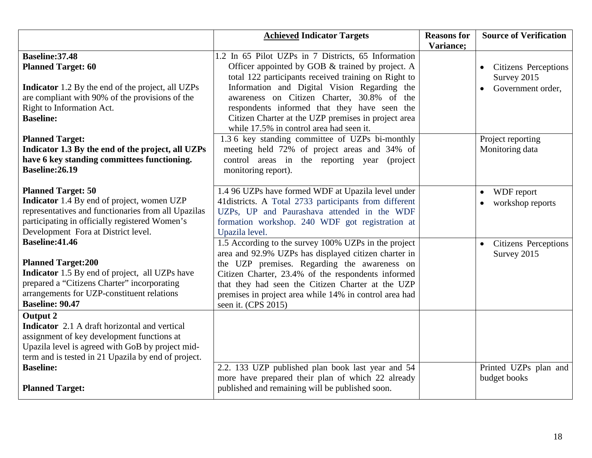|                                                                                                                                                                                                                             | <b>Achieved Indicator Targets</b>                                                                                                                                                                                                                                                                                                                        | <b>Reasons for</b><br>Variance; | <b>Source of Verification</b>                                   |
|-----------------------------------------------------------------------------------------------------------------------------------------------------------------------------------------------------------------------------|----------------------------------------------------------------------------------------------------------------------------------------------------------------------------------------------------------------------------------------------------------------------------------------------------------------------------------------------------------|---------------------------------|-----------------------------------------------------------------|
| Baseline: 37.48<br><b>Planned Target: 60</b><br><b>Indicator</b> 1.2 By the end of the project, all UZPs<br>are compliant with 90% of the provisions of the<br>Right to Information Act.                                    | 1.2 In 65 Pilot UZPs in 7 Districts, 65 Information<br>Officer appointed by GOB & trained by project. A<br>total 122 participants received training on Right to<br>Information and Digital Vision Regarding the<br>awareness on Citizen Charter, 30.8% of the<br>respondents informed that they have seen the                                            |                                 | <b>Citizens Perceptions</b><br>Survey 2015<br>Government order, |
| <b>Baseline:</b>                                                                                                                                                                                                            | Citizen Charter at the UZP premises in project area<br>while 17.5% in control area had seen it.                                                                                                                                                                                                                                                          |                                 |                                                                 |
| <b>Planned Target:</b><br>Indicator 1.3 By the end of the project, all UZPs<br>have 6 key standing committees functioning.<br><b>Baseline:26.19</b>                                                                         | 1.3.6 key standing committee of UZPs bi-monthly<br>meeting held 72% of project areas and 34% of<br>control areas in the reporting year (project<br>monitoring report).                                                                                                                                                                                   |                                 | Project reporting<br>Monitoring data                            |
| <b>Planned Target: 50</b><br>Indicator 1.4 By end of project, women UZP<br>representatives and functionaries from all Upazilas<br>participating in officially registered Women's<br>Development Fora at District level.     | 1.4 96 UZPs have formed WDF at Upazila level under<br>41 districts. A Total 2733 participants from different<br>UZPs, UP and Paurashava attended in the WDF<br>formation workshop. 240 WDF got registration at<br>Upazila level.                                                                                                                         |                                 | WDF report<br>workshop reports                                  |
| <b>Baseline:41.46</b><br><b>Planned Target:200</b><br>Indicator 1.5 By end of project, all UZPs have<br>prepared a "Citizens Charter" incorporating<br>arrangements for UZP-constituent relations<br><b>Baseline: 90.47</b> | 1.5 According to the survey 100% UZPs in the project<br>area and 92.9% UZPs has displayed citizen charter in<br>the UZP premises. Regarding the awareness on<br>Citizen Charter, 23.4% of the respondents informed<br>that they had seen the Citizen Charter at the UZP<br>premises in project area while 14% in control area had<br>seen it. (CPS 2015) |                                 | <b>Citizens Perceptions</b><br>Survey 2015                      |
| <b>Output 2</b><br>Indicator 2.1 A draft horizontal and vertical<br>assignment of key development functions at<br>Upazila level is agreed with GoB by project mid-<br>term and is tested in 21 Upazila by end of project.   |                                                                                                                                                                                                                                                                                                                                                          |                                 |                                                                 |
| <b>Baseline:</b><br><b>Planned Target:</b>                                                                                                                                                                                  | 2.2. 133 UZP published plan book last year and 54<br>more have prepared their plan of which 22 already<br>published and remaining will be published soon.                                                                                                                                                                                                |                                 | Printed UZPs plan and<br>budget books                           |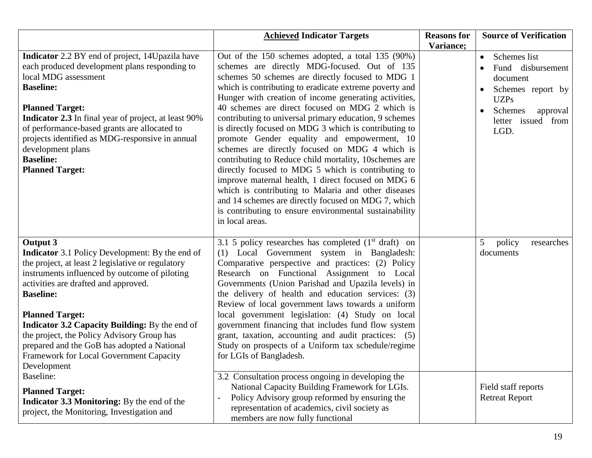|                                                                                                                                                                                                                                                                                                                                                                                                                                                                                                                                                                                                                           | <b>Achieved Indicator Targets</b>                                                                                                                                                                                                                                                                                                                                                                                                                                                                                                                                                                                                                                                                                                                                                                                                                                                                               | <b>Reasons for</b> | <b>Source of Verification</b>                                                                                                                                                              |
|---------------------------------------------------------------------------------------------------------------------------------------------------------------------------------------------------------------------------------------------------------------------------------------------------------------------------------------------------------------------------------------------------------------------------------------------------------------------------------------------------------------------------------------------------------------------------------------------------------------------------|-----------------------------------------------------------------------------------------------------------------------------------------------------------------------------------------------------------------------------------------------------------------------------------------------------------------------------------------------------------------------------------------------------------------------------------------------------------------------------------------------------------------------------------------------------------------------------------------------------------------------------------------------------------------------------------------------------------------------------------------------------------------------------------------------------------------------------------------------------------------------------------------------------------------|--------------------|--------------------------------------------------------------------------------------------------------------------------------------------------------------------------------------------|
| Indicator 2.2 BY end of project, 14Upazila have<br>each produced development plans responding to<br>local MDG assessment<br><b>Baseline:</b><br><b>Planned Target:</b><br><b>Indicator 2.3</b> In final year of project, at least 90%<br>of performance-based grants are allocated to<br>projects identified as MDG-responsive in annual<br>development plans<br><b>Baseline:</b><br><b>Planned Target:</b>                                                                                                                                                                                                               | Out of the 150 schemes adopted, a total 135 (90%)<br>schemes are directly MDG-focused. Out of 135<br>schemes 50 schemes are directly focused to MDG 1<br>which is contributing to eradicate extreme poverty and<br>Hunger with creation of income generating activities,<br>40 schemes are direct focused on MDG 2 which is<br>contributing to universal primary education, 9 schemes<br>is directly focused on MDG 3 which is contributing to<br>promote Gender equality and empowerment, 10<br>schemes are directly focused on MDG 4 which is<br>contributing to Reduce child mortality, 10schemes are<br>directly focused to MDG 5 which is contributing to<br>improve maternal health, 1 direct focused on MDG 6<br>which is contributing to Malaria and other diseases<br>and 14 schemes are directly focused on MDG 7, which<br>is contributing to ensure environmental sustainability<br>in local areas. | Variance;          | Schemes list<br>$\bullet$<br>Fund disbursement<br>$\bullet$<br>document<br>Schemes report by<br>$\bullet$<br><b>UZPs</b><br>Schemes<br>approval<br>$\bullet$<br>letter issued from<br>LGD. |
| <b>Output 3</b><br><b>Indicator</b> 3.1 Policy Development: By the end of<br>the project, at least 2 legislative or regulatory<br>instruments influenced by outcome of piloting<br>activities are drafted and approved.<br><b>Baseline:</b><br><b>Planned Target:</b><br>Indicator 3.2 Capacity Building: By the end of<br>the project, the Policy Advisory Group has<br>prepared and the GoB has adopted a National<br>Framework for Local Government Capacity<br>Development<br>Baseline:<br><b>Planned Target:</b><br><b>Indicator 3.3 Monitoring:</b> By the end of the<br>project, the Monitoring, Investigation and | 3.1 5 policy researches has completed $(1st draft)$ on<br>(1) Local Government system in Bangladesh:<br>Comparative perspective and practices: (2) Policy<br>Research on Functional Assignment to Local<br>Governments (Union Parishad and Upazila levels) in<br>the delivery of health and education services: (3)<br>Review of local government laws towards a uniform<br>local government legislation: (4) Study on local<br>government financing that includes fund flow system<br>grant, taxation, accounting and audit practices: (5)<br>Study on prospects of a Uniform tax schedule/regime<br>for LGIs of Bangladesh.<br>3.2 Consultation process ongoing in developing the<br>National Capacity Building Framework for LGIs.<br>Policy Advisory group reformed by ensuring the<br>representation of academics, civil society as<br>members are now fully functional                                    |                    | 5<br>policy<br>researches<br>documents<br>Field staff reports<br><b>Retreat Report</b>                                                                                                     |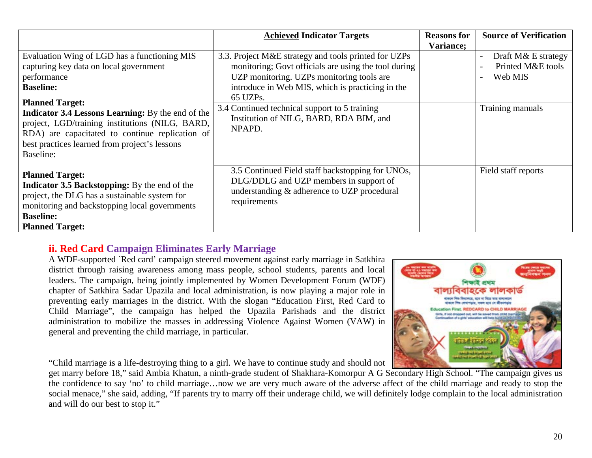|                                                                                                                                                                                                                                                                                                                       | <b>Achieved Indicator Targets</b>                                                                                                                                                                                                                                                                                               | <b>Reasons for</b><br>Variance; | <b>Source of Verification</b>                                                                       |
|-----------------------------------------------------------------------------------------------------------------------------------------------------------------------------------------------------------------------------------------------------------------------------------------------------------------------|---------------------------------------------------------------------------------------------------------------------------------------------------------------------------------------------------------------------------------------------------------------------------------------------------------------------------------|---------------------------------|-----------------------------------------------------------------------------------------------------|
| Evaluation Wing of LGD has a functioning MIS<br>capturing key data on local government<br>performance<br><b>Baseline:</b><br><b>Planned Target:</b><br><b>Indicator 3.4 Lessons Learning:</b> By the end of the<br>project, LGD/training institutions (NILG, BARD,<br>RDA) are capacitated to continue replication of | 3.3. Project M&E strategy and tools printed for UZPs<br>monitoring; Govt officials are using the tool during<br>UZP monitoring. UZPs monitoring tools are<br>introduce in Web MIS, which is practicing in the<br>65 UZPs.<br>3.4 Continued technical support to 5 training<br>Institution of NILG, BARD, RDA BIM, and<br>NPAPD. |                                 | Draft M& E strategy<br>$\overline{\phantom{a}}$<br>Printed M&E tools<br>Web MIS<br>Training manuals |
| best practices learned from project's lessons<br>Baseline:                                                                                                                                                                                                                                                            |                                                                                                                                                                                                                                                                                                                                 |                                 |                                                                                                     |
| <b>Planned Target:</b><br><b>Indicator 3.5 Backstopping:</b> By the end of the<br>project, the DLG has a sustainable system for<br>monitoring and backstopping local governments<br><b>Baseline:</b><br><b>Planned Target:</b>                                                                                        | 3.5 Continued Field staff backstopping for UNOs,<br>DLG/DDLG and UZP members in support of<br>understanding & adherence to UZP procedural<br>requirements                                                                                                                                                                       |                                 | Field staff reports                                                                                 |

# **ii. Red Card Campaign Eliminates Early Marriage**

A WDF-supported `Red card' campaign steered movement against early marriage in Satkhira district through raising awareness among mass people, school students, parents and local leaders. The campaign, being jointly implemented by Women Development Forum (WDF) chapter of Satkhira Sadar Upazila and local administration, is now playing a major role in preventing early marriages in the district. With the slogan "Education First, Red Card to Child Marriage", the campaign has helped the Upazila Parishads and the district administration to mobilize the masses in addressing Violence Against Women (VAW) in general and preventing the child marriage, in particular.

"Child marriage is a life-destroying thing to a girl. We have to continue study and should not

get marry before 18," said Ambia Khatun, a ninth-grade student of Shakhara-Komorpur A G Secondary High School. "The campaign gives us the confidence to say 'no' to child marriage…now we are very much aware of the adverse affect of the child marriage and ready to stop the social menace," she said, adding, "If parents try to marry off their underage child, we will definitely lodge complain to the local administration and will do our best to stop it."